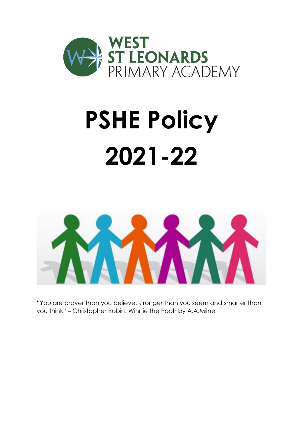

# **PSHE Policy 2021-22**



"You are braver than you believe, stronger than you seem and smarter than you think" – Christopher Robin. Winnie the Pooh by A.A.Milne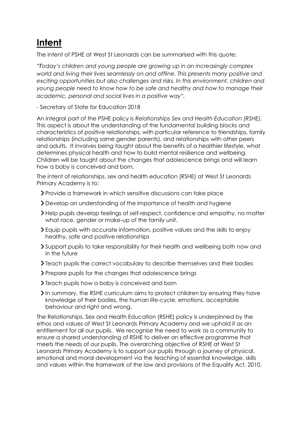# **Intent**

The intent of PSHE at West St Leonards can be summarised with this quote:

*"Today's children and young people are growing up in an increasingly complex world and living their lives seamlessly on and offline. This presents many positive and exciting opportunities but also challenges and risks. In this environment, children and young people need to know how to be safe and healthy and how to manage their academic, personal and social lives in a positive way".* 

*-* Secretary of State for Education 2018

An integral part of the PSHE policy is *Relationships Sex and Health Education (RSHE)*. This aspect is about the understanding of the fundamental building blocks and characteristics of positive relationships, with particular reference to friendships, family relationships (including same gender parents), and relationships with other peers and adults. It involves being taught about the benefits of a healthier lifestyle, what determines physical health and how to build mental resilience and wellbeing. Children will be taught about the changes that adolescence brings and will learn how a baby is conceived and born.

The intent of relationships, sex and health education (RSHE) at West St Leonards Primary Academy is to:

- Provide a framework in which sensitive discussions can take place
- Develop an understanding of the importance of health and hygiene
- Help pupils develop feelings of self-respect, confidence and empathy, no matter what race, gender or make-up of the family unit.
- Equip pupils with accurate information, positive values and the skills to enjoy healthy, safe and positive relationships
- Support pupils to take responsibility for their health and wellbeing both now and in the future
- Teach pupils the correct vocabulary to describe themselves and their bodies
- Prepare pupils for the changes that adolescence brings
- $\sum$  Teach pupils how a baby is conceived and born
- In summary, the RSHE curriculum aims to protect children by ensuring they have knowledge of their bodies, the human life-cycle, emotions, acceptable behaviour and right and wrong.

The Relationships, Sex and Health Education (RSHE) policy is underpinned by the ethos and values of West St Leonards Primary Academy and we uphold it as an entitlement for all our pupils. We recognise the need to work as a community to ensure a shared understanding of RSHE to deliver an effective programme that meets the needs of our pupils. The overarching objective of RSHE at West St Leonards Primary Academy is to support our pupils through a journey of physical, emotional and moral development via the teaching of essential knowledge, skills and values within the framework of the law and provisions of the Equality Act, 2010.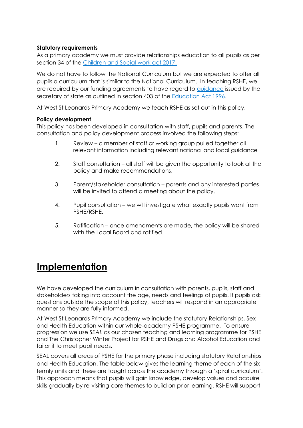# **Statutory requirements**

As a primary academy we must provide relationships education to all pupils as per section 34 of the [Children and Social work act 2017.](http://www.legislation.gov.uk/ukpga/2017/16/section/34/enacted)

We do not have to follow the National Curriculum but we are expected to offer all pupils a curriculum that is similar to the National Curriculum. In teaching RSHE, we are required by our funding agreements to have regard to [guidance](https://www.gov.uk/government/consultations/relationships-and-sex-education-and-health-education) issued by the secretary of state as outlined in section 403 of the [Education Act 1996.](http://www.legislation.gov.uk/ukpga/1996/56/contents)

At West St Leonards Primary Academy we teach RSHE as set out in this policy.

#### **Policy development**

This policy has been developed in consultation with staff, pupils and parents. The consultation and policy development process involved the following steps:

- 1. Review a member of staff or working group pulled together all relevant information including relevant national and local guidance
- 2. Staff consultation all staff will be given the opportunity to look at the policy and make recommendations.
- 3. Parent/stakeholder consultation parents and any interested parties will be invited to attend a meeting about the policy.
- 4. Pupil consultation we will investigate what exactly pupils want from PSHE/RSHE.
- 5. Ratification once amendments are made, the policy will be shared with the Local Board and ratified.

# **Implementation**

We have developed the curriculum in consultation with parents, pupils, staff and stakeholders taking into account the age, needs and feelings of pupils. If pupils ask questions outside the scope of this policy, teachers will respond in an appropriate manner so they are fully informed.

At West St Leonards Primary Academy we include the statutory Relationships, Sex and Health Education within our whole-academy PSHE programme. To ensure progression we use *SEAL* as our chosen teaching and learning programme for PSHE and The Christopher Winter Project for RSHE and Drugs and Alcohol Education and tailor it to meet pupil needs.

SEAL covers all areas of PSHE for the primary phase including statutory Relationships and Health Education. The table below gives the learning theme of each of the six termly units and these are taught across the academy through a 'spiral curriculum'. This approach means that pupils will gain knowledge, develop values and acquire skills gradually by re-visiting core themes to build on prior learning. RSHE will support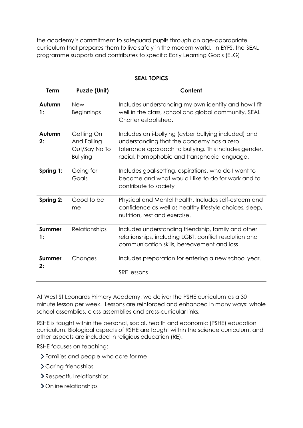the academy's commitment to safeguard pupils through an age-appropriate curriculum that prepares them to live safely in the modern world. In EYFS, the SEAL programme supports and contributes to specific Early Learning Goals (ELG)

| Term         | <b>Puzzle (Unit)</b>                                          | Content                                                                                                                                                                                                    |
|--------------|---------------------------------------------------------------|------------------------------------------------------------------------------------------------------------------------------------------------------------------------------------------------------------|
| Autumn<br>1: | <b>New</b><br><b>Beginnings</b>                               | Includes understanding my own identity and how I fit<br>well in the class, school and global community. SEAL<br>Charter established.                                                                       |
| Autumn<br>2: | Getting On<br>And Falling<br>Out/Say No To<br><b>Bullying</b> | Includes anti-bullying (cyber bullying included) and<br>understanding that the academy has a zero<br>tolerance approach to bullying. This includes gender,<br>racial, homophobic and transphobic language. |
| Spring 1:    | Going for<br>Goals                                            | Includes goal-setting, aspirations, who do I want to<br>become and what would I like to do for work and to<br>contribute to society                                                                        |
| Spring 2:    | Good to be<br>me                                              | Physical and Mental health. Includes self-esteem and<br>confidence as well as healthy lifestyle choices, sleep,<br>nutrition, rest and exercise.                                                           |
| Summer<br>1: | Relationships                                                 | Includes understanding friendship, family and other<br>relationships, including LGBT, conflict resolution and<br>communication skills, bereavement and loss                                                |
| Summer<br>2: | Changes                                                       | Includes preparation for entering a new school year.<br><b>SRE</b> lessons                                                                                                                                 |

# **SEAL TOPICS**

At West St Leonards Primary Academy, we deliver the PSHE curriculum as a 30 minute lesson per week. Lessons are reinforced and enhanced in many ways: whole school assemblies, class assemblies and cross-curricular links.

RSHE is taught within the personal, social, health and economic (PSHE) education curriculum. Biological aspects of RSHE are taught within the science curriculum, and other aspects are included in religious education (RE).

RSHE focuses on teaching:

- Families and people who care for me
- > Caring friendships
- Respectful relationships
- > Online relationships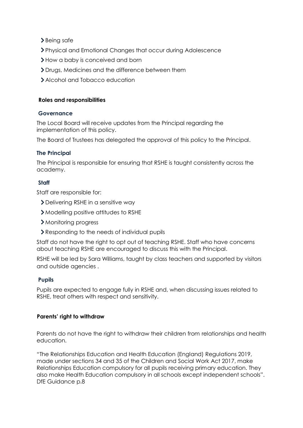> Being safe

- Physical and Emotional Changes that occur during Adolescence
- > How a baby is conceived and born
- Drugs, Medicines and the difference between them
- Alcohol and Tobacco education

## **Roles and responsibilities**

#### **Governance**

The Local Board will receive updates from the Principal regarding the implementation of this policy.

The Board of Trustees has delegated the approval of this policy to the Principal.

#### **The Principal**

The Principal is responsible for ensuring that RSHE is taught consistently across the academy.

## **Staff**

Staff are responsible for:

- Delivering RSHE in a sensitive way
- Modelling positive attitudes to RSHE
- Monitoring progress
- **>** Responding to the needs of individual pupils

Staff do not have the right to opt out of teaching RSHE. Staff who have concerns about teaching RSHE are encouraged to discuss this with the Principal.

RSHE will be led by Sara Williams, taught by class teachers and supported by visitors and outside agencies .

#### **Pupils**

Pupils are expected to engage fully in RSHE and, when discussing issues related to RSHE, treat others with respect and sensitivity.

## **Parents' right to withdraw**

Parents do not have the right to withdraw their children from relationships and health education.

"The Relationships Education and Health Education (England) Regulations 2019, made under sections 34 and 35 of the Children and Social Work Act 2017, make Relationships Education compulsory for all pupils receiving primary education. They also make Health Education compulsory in all schools except independent schools". DfE Guidance p.8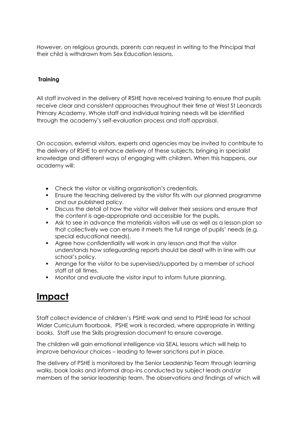However, on religious grounds, parents can request in writing to the Principal that their child is withdrawn from Sex Education lessons.

# **Training**

All staff involved in the delivery of RSHE have received training to ensure that pupils receive clear and consistent approaches throughout their time at West St Leonards Primary Academy. Whole staff and individual training needs will be identified through the academy's self-evaluation process and staff appraisal.

On occasion, external visitors, experts and agencies may be invited to contribute to the delivery of RSHE to enhance delivery of these subjects, bringing in specialist knowledge and different ways of engaging with children. When this happens, our academy will:

- Check the visitor or visiting organisation's credentials.
- Ensure the teaching delivered by the visitor fits with our planned programme and our published policy.
- Discuss the detail of how the visitor will deliver their sessions and ensure that the content is age-appropriate and accessible for the pupils.
- Ask to see in advance the materials visitors will use as well as a lesson plan so that collectively we can ensure it meets the full range of pupils' needs (e.g. special educational needs).
- Agree how confidentiality will work in any lesson and that the visitor understands how safeguarding reports should be dealt with in line with our school's policy.
- **Arrange for the visitor to be supervised/supported by a member of school** staff at all times.
- Monitor and evaluate the visitor input to inform future planning.

# **Impact**

Staff collect evidence of children's PSHE work and send to PSHE lead for school Wider Curriculum floorbook. PSHE work is recorded, where appropriate in Writing books. Staff use the Skills progression document to ensure coverage.

The children will gain emotional intelligence via SEAL lessons which will help to improve behaviour choices – leading to fewer sanctions put in place.

The delivery of PSHE is monitored by the Senior Leadership Team through learning walks, book looks and informal drop-ins conducted by subject leads and/or members of the senior leadership team. The observations and findings of which will